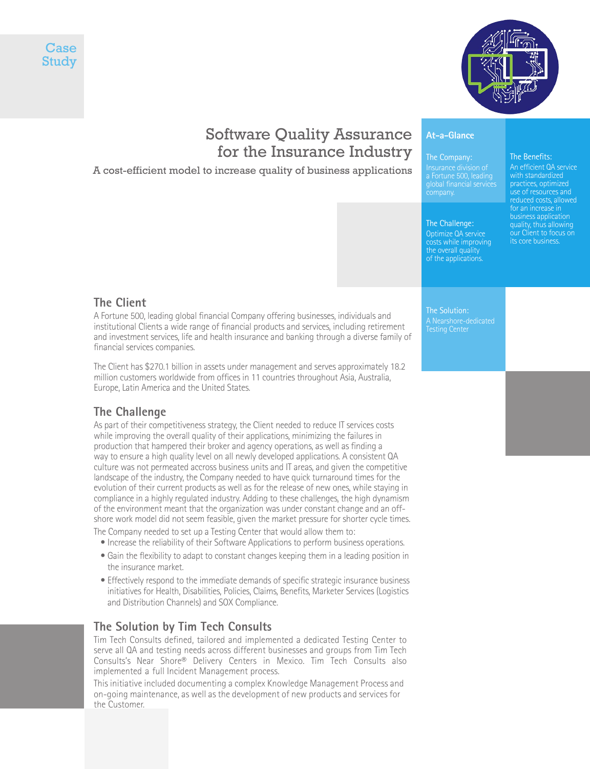



# Software Quality Assurance for the Insurance Industry

## A cost-efficient model to increase quality of business applications

# **At-a-Glance**

## The Company:

The Challenge: Optimize QA service costs while improving the overall quality of the applications.

global financial services company.

#### An efficient QA service with standardized practices, optimized reduced costs, allowed for an increase in business application quality, thus allowing our Client to focus on its core business.

The Benefits:

**The Client**

A Fortune 500, leading global financial Company offering businesses, individuals and institutional Clients a wide range of financial products and services, including retirement and investment services, life and health insurance and banking through a diverse family of financial services companies.

The Client has \$270.1 billion in assets under management and serves approximately 18.2 million customers worldwide from offices in 11 countries throughout Asia, Australia, Europe, Latin America and the United States.

## **The Challenge**

As part of their competitiveness strategy, the Client needed to reduce IT services costs while improving the overall quality of their applications, minimizing the failures in production that hampered their broker and agency operations, as well as finding a way to ensure a high quality level on all newly developed applications. A consistent QA culture was not permeated accross business units and IT areas, and given the competitive landscape of the industry, the Company needed to have quick turnaround times for the evolution of their current products as well as for the release of new ones, while staying in compliance in a highly regulated industry. Adding to these challenges, the high dynamism of the environment meant that the organization was under constant change and an offshore work model did not seem feasible, given the market pressure for shorter cycle times. The Company needed to set up a Testing Center that would allow them to:

- Increase the reliability of their Software Applications to perform business operations.
- Gain the flexibility to adapt to constant changes keeping them in a leading position in the insurance market.
- Effectively respond to the immediate demands of specific strategic insurance business initiatives for Health, Disabilities, Policies, Claims, Benefits, Marketer Services (Logistics and Distribution Channels) and SOX Compliance.

## **The Solution by Tim Tech Consults**

Tim Tech Consults defined, tailored and implemented a dedicated Testing Center to serve all QA and testing needs across different businesses and groups from Tim Tech Consults's Near Shore® Delivery Centers in Mexico. Tim Tech Consults also implemented a full Incident Management process.

This initiative included documenting a complex Knowledge Management Process and on-going maintenance, as well as the development of new products and services for the Customer.

The Solution: A Nearshore-dedicated Testing Center